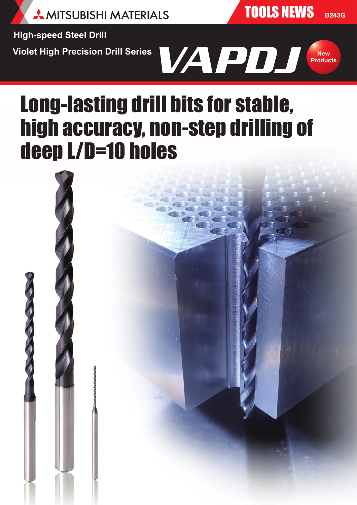

TOOLS NEWS **B243G**

**High-speed Steel Drill**

**Violet High Precision Drill Series**



# Long-lasting drill bits for stable, high accuracy, non-step drilling of deep L/D=10 holes

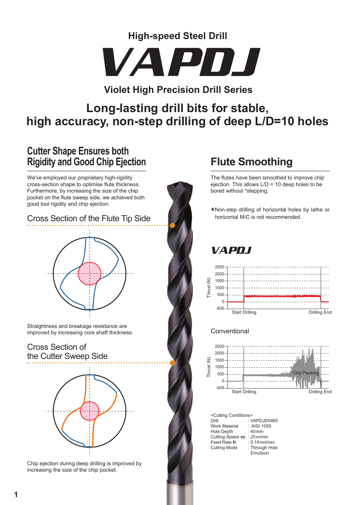**High-speed Steel Drill**



## **Violet High Precision Drill Series**

# **Long-lasting drill bits for stable, high accuracy, non-step drilling of deep L/D=10 holes**

# **Cutter Shape Ensures both Rigidity and Good Chip Ejection**

We've employed our proprietary high-rigidity cross-section shape to optimise flute thickness. Furthermore, by increasing the size of the chip pocket on the flute sweep side, we achieved both good tool rigidity and chip ejection.

#### Cross Section of the Flute Tip Side



Straightness and breakage resistance are improved by increasing core shaft thickness.

#### Cross Section of the Cutter Sweep Side



Chip ejection during deep drilling is improved by increasing the size of the chip pocket.

# **Flute Smoothing**

The flutes have been smoothed to improve chip ejection. This allows L/D = 10 deep holes to be bored without \*stepping.

\*Non-step drilling of horizontal holes by lathe or horizontal M/C is not recommended.

# VAPDJ



#### **Conventional**



<Cutting Conditions><br>Drill : V : VAPDJD0460<br>: AISI 1055 Work Material : AISI 1 Hole Depth Cutting Speed **vc** : 25m/min Feed Rate **fr** : 0.14 mm/rev<br>Cutting Mode : Through Hole Cutting Mode Emulsion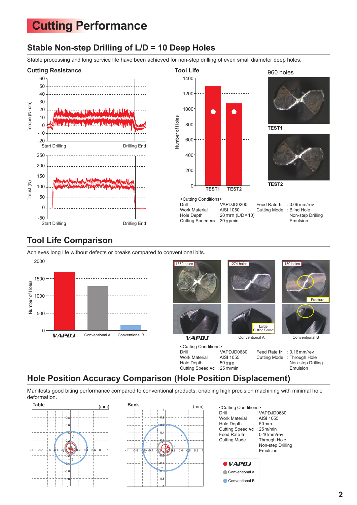# **Cutting Performance**

### **Stable Non-step Drilling of L/D = 10 Deep Holes**

Stable processing and long service life have been achieved for non-step drilling of even small diameter deep holes.





**TEST1** 960 holes



Feed Rate **fr** : 0.06mm/rev Cutting Mode : Blind Hole Non-step Drilling Emulsion

## **Tool Life Comparison**

Achieves long life without defects or breaks compared to conventional bits.





<Cutting Conditions><br>Drill : : VAPDJD0680 Work Material : AISI 1055 Hole Depth : 50mm Cutting Speed **vc** : 25m/min



**Fracture**  $150$  hol

Feed Rate **fr** : 0.16mm/rev Cutting Mode : Through Hole Non-step Drilling Emulsion

#### **Hole Position Accuracy Comparison (Hole Position Displacement)**

Manifests good biting performance compared to conventional products, enabling high precision machining with minimal hole deformation.





| <cutting conditions=""></cutting> |                     |
|-----------------------------------|---------------------|
| Drill                             | : $VAPDJD0680$      |
| Work Material                     | : AISI 1055         |
| Hole Depth                        | $:50 \,\mathrm{mm}$ |
| Cutting Speed vc : 25m/min        |                     |
| Feed Rate fr                      | $: 0.16$ mm/rev     |
| <b>Cutting Mode</b>               | : Through Hole      |
|                                   | Non-step Drilling   |
|                                   | Emulsion            |
|                                   |                     |
| $\bullet$ $VAP$ DJ                |                     |
| Conventional A                    |                     |

Conventional B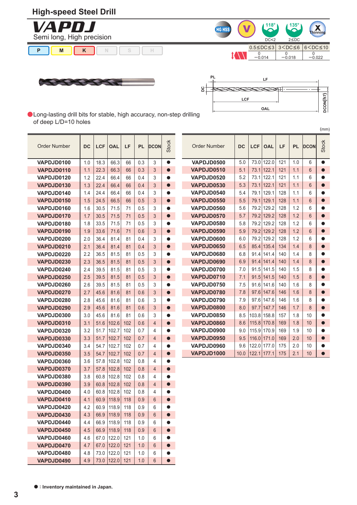#### **High-speed Steel Drill**











(mm)

**C** Long-lasting drill bits for stable, high accuracy, non-step drilling of deep L/D=10 holes

| <b>Order Number</b>      | DC         | <b>LCF</b>   | <b>OAL</b>     | LF         | <b>PL</b>  | <b>DCON</b>         | <b>Stock</b>           | <b>Order Number</b> | DC   | <b>LCF</b> | <b>OAL</b> | LF  | <b>PL</b> | <b>DCON</b>    | <b>Stock</b> |
|--------------------------|------------|--------------|----------------|------------|------------|---------------------|------------------------|---------------------|------|------------|------------|-----|-----------|----------------|--------------|
| VAPDJD0100               | 1.0        | 18.3         | 66.3           | 66         | 0.3        | 3                   | $\bullet$              | VAPDJD0500          | 5.0  | 73.0       | 122.0      | 121 | 1.0       | 6              | C            |
| VAPDJD0110               | 1.1        | 22.3         | 66.3           | 66         | 0.3        | 3                   | $\bullet$              | VAPDJD0510          | 5.1  | 73.1       | 122.1      | 121 | 1.1       | $6\phantom{1}$ |              |
| VAPDJD0120               | 1.2        | 22.4         | 66.4           | 66         | 0.4        | 3                   | $\bullet$              | VAPDJD0520          | 5.2  | 73.1       | 122.1      | 121 | 1.1       | 6              |              |
| VAPDJD0130               | 1.3        | 22.4         | 66.4           | 66         | 0.4        | 3                   | $\bullet$              | VAPDJD0530          | 5.3  | 73.1       | 122.1      | 121 | 1.1       | $6\phantom{1}$ |              |
| VAPDJD0140               | 1.4        | 24.4         | 66.4           | 66         | 0.4        | 3                   | ●                      | VAPDJD0540          | 5.4  | 79.1       | 129.1      | 128 | 1.1       | 6              |              |
| VAPDJD0150               | 1.5        | 24.5         | 66.5           | 66         | 0.5        | 3                   | $\bullet$              | VAPDJD0550          | 5.5  | 79.1       | 129.1      | 128 | 1.1       | $6\phantom{1}$ |              |
| VAPDJD0160               | 1.6        | 30.5         | 71.5           | 71         | 0.5        | 3                   | ●                      | VAPDJD0560          | 5.6  | 79.2       | 129.2      | 128 | 1.2       | 6              |              |
| VAPDJD0170               | 1.7        | 30.5         | 71.5           | 71         | 0.5        | 3                   | $\bullet$              | VAPDJD0570          | 5.7  | 79.2       | 129.2      | 128 | 1.2       | $6\phantom{1}$ |              |
| VAPDJD0180               | 1.8        | 33.5         | 71.5           | 71         | 0.5        | 3                   |                        | VAPDJD0580          | 5.8  | 79.2       | 129.2      | 128 | 1.2       | 6              |              |
| VAPDJD0190               | 1.9        | 33.6         | 71.6           | 71         | 0.6        | 3                   | $\bullet$              | VAPDJD0590          | 5.9  | 79.2       | 129.2      | 128 | 1.2       | $6\phantom{1}$ |              |
| VAPDJD0200               | 2.0        | 36.4         | 81.4           | 81         | 0.4        | 3                   | $\bullet$              | VAPDJD0600          | 6.0  | 79.2       | 129.2      | 128 | 1.2       | 6              |              |
| VAPDJD0210               | 2.1        | 36.4         | 81.4           | 81         | 0.4        | 3                   | $\bullet$              | VAPDJD0650          | 6.5  | 85.4       | 135.4      | 134 | 1.4       | 8              |              |
| VAPDJD0220               | 2.2        | 36.5         | 81.5           | 81         | 0.5        | 3                   | ●                      | VAPDJD0680          | 6.8  | 91.4       | 141.4      | 140 | 1.4       | 8              |              |
| VAPDJD0230               | 2.3        | 36.5         | 81.5           | 81         | 0.5        | 3                   | $\bullet$              | VAPDJD0690          | 6.9  | 91.4       | 141.4      | 140 | 1.4       | 8              |              |
| VAPDJD0240               | 2.4        | 39.5         | 81.5           | 81         | 0.5        | 3                   | O                      | VAPDJD0700          | 7.0  | 91.5       | 141.5      | 140 | 1.5       | 8              |              |
| VAPDJD0250               | 2.5        | 39.5         | 81.5           | 81         | 0.5        | 3                   | $\bullet$              | VAPDJD0710          | 7.1  | 91.5       | 141.5      | 140 | 1.5       | 8              |              |
| VAPDJD0260               | 2.6        | 39.5         | 81.5           | 81         | 0.5        | 3                   |                        | VAPDJD0750          | 7.5  | 91.6       | 141.6      | 140 | 1.6       | 8              |              |
| VAPDJD0270               | 2.7        | 45.6         | 81.6           | 81         | 0.6        | 3                   | $\bullet$              | VAPDJD0780          | 7.8  | 97.6       | 147.6      | 146 | 1.6       | 8              |              |
| VAPDJD0280               | 2.8        | 45.6         | 81.6           | 81         | 0.6        | 3                   | $\bullet$              | VAPDJD0790          | 7.9  | 97.6       | 147.6      | 146 | 1.6       | 8              |              |
| VAPDJD0290               | 2.9        | 45.6         | 81.6           | 81         | 0.6        | 3                   | $\bullet$              | VAPDJD0800          | 8.0  | 97.7       | 147.7      | 146 | 1.7       | 8              |              |
| VAPDJD0300               | 3.0        | 45.6         | 81.6           | 81         | 0.6        | 3                   |                        | VAPDJD0850          | 8.5  | 103.8      | 158.8      | 157 | 1.8       | 10             |              |
| VAPDJD0310               | 3.1        | 51.6         | 102.6          | 102        | 0.6        | $\overline{4}$      | $\bullet$              | VAPDJD0860          | 8.6  | 115.8      | 170.8      | 169 | 1.8       | 10             |              |
| VAPDJD0320               | 3.2        | 51.7         | 102.7          | 102        | 0.7        | 4                   | O                      | VAPDJD0900          | 9.0  | 115.9      | 170.9      | 169 | 1.9       | 10             |              |
| VAPDJD0330               | 3.3        | 51.7         | 102.7          | 102        | 0.7        | $\overline{4}$      | $\bullet$              | VAPDJD0950          | 9.5  | 116.0      | 171.0      | 169 | 2.0       | 10             |              |
| VAPDJD0340               | 3.4        | 54.7         | 102.7          | 102        | 0.7        | 4                   |                        | VAPDJD0960          | 9.6  | 122.0      | 177.0      | 175 | 2.0       | 10             |              |
| VAPDJD0350               | 3.5        | 54.7         | 102.7          | 102        | 0.7        | $\overline{4}$      | $\bullet$              | VAPDJD1000          | 10.0 | 122.1      | 177.1      | 175 | 2.1       | 10             | Г            |
| VAPDJD0360               | 3.6        | 57.8         | 102.8          | 102        | 0.8        | 4                   | ●                      |                     |      |            |            |     |           |                |              |
| VAPDJD0370               | 3.7        | 57.8         | 102.8          | 102        | 0.8        | $\overline{4}$      | $\bullet$              |                     |      |            |            |     |           |                |              |
| VAPDJD0380               | 3.8        | 60.8         | 102.8          | 102        | 0.8        | 4                   | ●                      |                     |      |            |            |     |           |                |              |
| VAPDJD0390               | 3.9        | 60.8         | 102.8          | 102        | 0.8        | $\overline{4}$      | $\bullet$              |                     |      |            |            |     |           |                |              |
| VAPDJD0400<br>VAPDJD0410 | 4.0        | 60.8         | 102.8          | 102        | 0.8        | 4                   | O                      |                     |      |            |            |     |           |                |              |
|                          | 4.1        | 60.9         | 118.9          | 118        | 0.9        | 6                   | $\bullet$              |                     |      |            |            |     |           |                |              |
| VAPDJD0420               | 4.2        | 60.9         | 118.9          | 118        | 0.9        | 6                   | $\bullet$              |                     |      |            |            |     |           |                |              |
| VAPDJD0430               | 4.3        | 66.9         | 118.9          | 118        | 0.9        | $6\phantom{1}$      | $\bullet$              |                     |      |            |            |     |           |                |              |
| VAPDJD0440<br>VAPDJD0450 | 4.4<br>4.5 | 66.9<br>66.9 | 118.9<br>118.9 | 118<br>118 | 0.9<br>0.9 | 6<br>$6\phantom{1}$ | $\bullet$<br>$\bullet$ |                     |      |            |            |     |           |                |              |
| VAPDJD0460               | 4.6        |              | 67.0 122.0     | 121        | 1.0        | 6                   | $\bullet$              |                     |      |            |            |     |           |                |              |
| VAPDJD0470               | 4.7        | 67.0         | 122.0          | 121        |            | 6                   | $\bullet$              |                     |      |            |            |     |           |                |              |
| VAPDJD0480               | 4.8        | 73.0         | 122.0          | 121        | 1.0<br>1.0 | 6                   |                        |                     |      |            |            |     |           |                |              |
| VAPDJD0490               | 4.9        |              | 73.0 122.0     | 121        | 1.0        | 6                   | $\bullet$              |                     |      |            |            |     |           |                |              |
|                          |            |              |                |            |            |                     |                        |                     |      |            |            |     |           |                |              |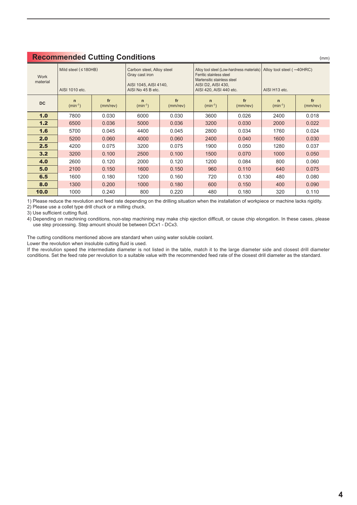| <b>Work</b><br>material | Mild steel $(180HB)$<br>AISI 1010 etc. |                | Carbon steel, Alloy steel<br>Gray cast iron<br>AISI 1045, AISI 4140,<br>AISI No 45 B etc. |                | Ferritic stainless steel<br>Martensitic stainless steel<br>AISI D2, AISI 430,<br>AISI 420, AISI 440 etc. |                | Alloy tool steel (Low-hardness materials)   Alloy tool steel (-40HRC)<br>AISI H13 etc. |                |  |  |
|-------------------------|----------------------------------------|----------------|-------------------------------------------------------------------------------------------|----------------|----------------------------------------------------------------------------------------------------------|----------------|----------------------------------------------------------------------------------------|----------------|--|--|
| <b>DC</b>               | $\mathsf{n}$<br>$(min^{-1})$           | fr<br>(mm/rev) | $\mathbf n$<br>$(min^{-1})$                                                               | fr<br>(mm/rev) | $\mathsf{n}$<br>$(min^{-1})$                                                                             | fr<br>(mm/rev) | $\mathbf n$<br>$(min^{-1})$                                                            | fr<br>(mm/rev) |  |  |
| 1.0                     | 7800                                   | 0.030          | 6000                                                                                      | 0.030          | 3600                                                                                                     | 0.026          | 2400                                                                                   | 0.018          |  |  |
| 1.2                     | 6500                                   | 0.036          | 5000                                                                                      | 0.036          | 3200                                                                                                     | 0.030          | 2000                                                                                   | 0.022          |  |  |
| 1.6                     | 5700                                   | 0.045          | 4400                                                                                      | 0.045          | 2800                                                                                                     | 0.034          | 1760                                                                                   | 0.024          |  |  |
| 2.0                     | 5200                                   | 0.060          | 4000                                                                                      | 0.060          | 2400                                                                                                     | 0.040          | 1600                                                                                   | 0.030          |  |  |
| 2.5                     | 4200                                   | 0.075          | 3200                                                                                      | 0.075          | 1900                                                                                                     | 0.050          | 1280                                                                                   | 0.037          |  |  |
| 3.2                     | 3200                                   | 0.100          | 2500                                                                                      | 0.100          | 1500                                                                                                     | 0.070          | 1000                                                                                   | 0.050          |  |  |
| 4.0                     | 2600                                   | 0.120          | 2000                                                                                      | 0.120          | 1200                                                                                                     | 0.084          | 800                                                                                    | 0.060          |  |  |
| 5.0                     | 2100                                   | 0.150          | 1600                                                                                      | 0.150          | 960                                                                                                      | 0.110          | 640                                                                                    | 0.075          |  |  |
| 6.5                     | 1600                                   | 0.180          | 1200                                                                                      | 0.160          | 720                                                                                                      | 0.130          | 480                                                                                    | 0.080          |  |  |
| 8.0                     | 1300                                   | 0.200          | 1000                                                                                      | 0.180          | 600                                                                                                      | 0.150          | 400                                                                                    | 0.090          |  |  |
| 10.0                    | 1000                                   | 0.240          | 800                                                                                       | 0.220          | 480                                                                                                      | 0.180          | 320                                                                                    | 0.110          |  |  |

#### **Recommended Cutting Conditions**

1) Please reduce the revolution and feed rate depending on the drilling situation when the installation of workpiece or machine lacks rigidity.

2) Please use a collet type drill chuck or a milling chuck.

3) Use sufficient cutting fluid.

4) Depending on machining conditions, non-step machining may make chip ejection difficult, or cause chip elongation. In these cases, please use step processing. Step amount should be between DCx1 - DCx3.

The cutting conditions mentioned above are standard when using water soluble coolant.

Lower the revolution when insoluble cutting fluid is used.

If the revolution speed the intermediate diameter is not listed in the table, match it to the large diameter side and closest drill diameter conditions. Set the feed rate per revolution to a suitable value with the recommended feed rate of the closest drill diameter as the standard.

(mm)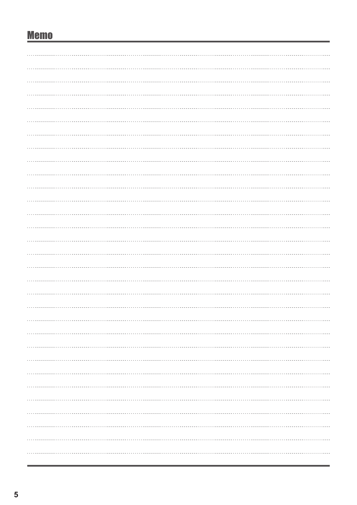# **Memo**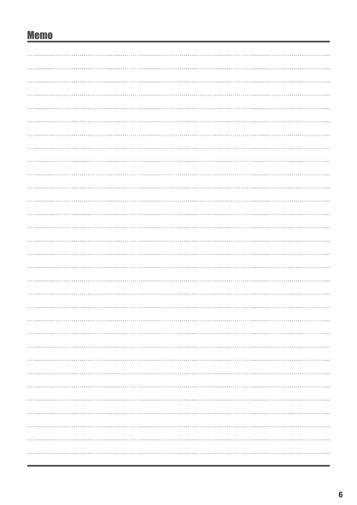# **Memo**